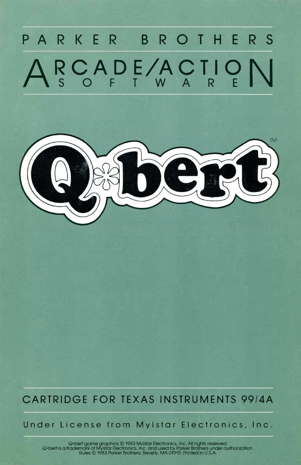# **PARKER BROTHERS**  RCADE/ACTION



# **CARTRIDGE FOR TEXAS INSTRUMENTS 99/4A**

**Under License from Mylstar Electronics, Inc.** 

Q•bert game graphics © 1983 Mylstar Electronics, Inc. All rights reserved.<br>Q•bert is a trademark of Mylstar Electronics, Inc. and used by Parker Brothers under authorization.<br>Rules © 1983 Parker Brothers, Beverly, MA 01915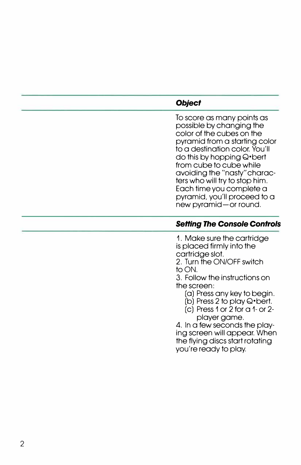# *Object*

To score as many points as possible by changing the color of the cubes on the pyramid from a starting color to a destination color. You'll do this by hopping Q•bert from cube to cube while avoiding the "nasty" characters who will try to stop him. Each time you complete a pyramid, you'll proceed to a new pyramid-or round.

# *Setting The Console Controls*

1. Make sure the cartridge is placed firmly into the cartridge slot.

2. Turn the ON/OFF switch to ON.

3. Follow the instructions on the screen:

(a) Press any key to begin.

(b) Press 2 to play Q•bert.

(c) Press 1 or 2 for a 1- or 2 player game.

4. In a few seconds the playing screen will appear. When the flying discs start rotating you're ready to play.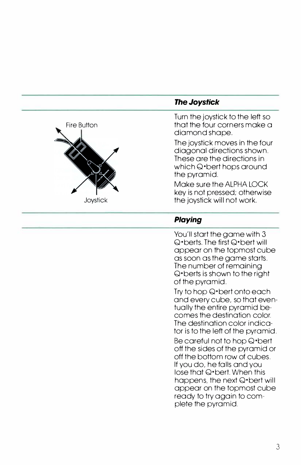

# *The Joystick*

Turn the joystick to the left so that the four corners make a diamond shape.

The joystick moves in the four diagonal directions shown. These are the directions in which Q•bert hops around the pyramid.

Make sure the ALPHA LOCK key is not pressed; otherwise the joystick will not work.

# *Playing*

You'll start the game with 3 Q•berts. The first Q•bert will appear on the topmost cube as soon as the game starts. The number of remaining Q•berts is shown to the right of the pyramid.

Try to hop Q•bert onto each and every cube, so that eventually the entire pyramid becomes the destination color. The destination color indicator is to the left of the pyramid. Be careful not to hop Q•bert off the sides of the pyramid or off the bottom row of cubes. If you do, he falls and you lose that Q•bert. When this happens, the next Q\*bert will appear on the topmost cube ready to try again to complete the pyramid.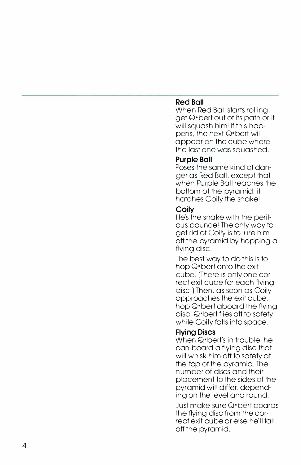### **Red Ball**

When Red Ball starts rolling, get Q•bert out of its path or it will squash him! If this happens, the next Q•bert will appear on the cube where the last one was squashed.

#### **Purple Ball**

Poses the same kind of danger as Red Ball, except that when Purple Ball reaches the bottom of the pyramid, it hatches Coily the snake!

#### **Coily**

He's the snake with the perilous pounce! The only way to get rid of Coily is to lure him *off* the pyramid by hopping a flying disc.

The best way to do this is to hop Q•bert onto the exit cube. (There is only one correct exit cube for each flying disc.) Then, as soon as Coily approaches the exit cube, hop Q•bert aboard the flying disc. Q•bert flies *off* to safety while Coily falls into space.

#### **Flying Discs**

When Q<sup>\*</sup>bert's in trouble, he can board a flying disc that will whisk him *off* to safety at the top of the pyramid. The number of discs and their placement to the sides of the pyramid will differ, depending on the level and round.

Just make sure Q•bert boards the flying disc from the correct exit cube or else he'll fall off the pyramid.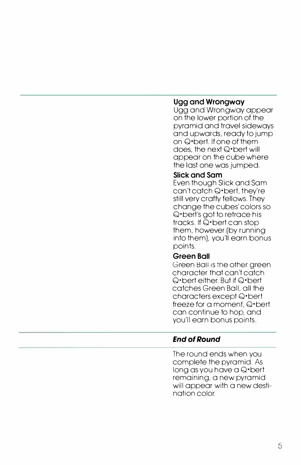#### **Ugg and Wrongway**

Ugg and Wrongway appear on the lower portion of the pyramid and travel sideways and upwards, ready to jump on Q•bert. If one of them does, the next Q•bert will appear on the cube where the last one was jumped.

#### **Slick and Sam**

Even though Slick and Sam can't catch Q•bert, they're still very crafty fellows. They change the cubes' colors so Q•bert's got to retrace his tracks. If Q•bert can stop them, however (by running into them), you'll earn bonus points.

#### **Green Ball**

Green Ball is the other areen character that can't catch Q•bert either. But if Q•bert catches Green Ball, all the characters except Q•bert freeze for a moment, Q•bert can continue to hop, and you'll earn bonus points.

# *End of Round*

The round ends when you complete the pyramid. As long as you have a Q•bert remaining, a new pyramid will appear with a new destination color.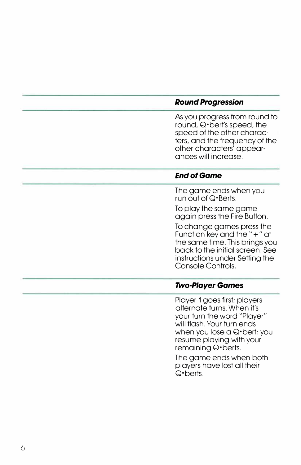#### *Round Progression*

As you progress from round to round, Q•bert's speed, the speed of the other characters, and the frequency of the other characters' appearances will increase.

#### *End of Game*

The game ends when you run out of Q•Berts.

To play the same game again press the Fire Button.

To change games press the Function key and the"+" at the same time. This brings you back to the initial screen. See instructions under Setting the Console Controls.

#### *Two-Player Games*

Player 1 goes first; players alternate turns. When it's your turn the word "Player" will flash. Your turn ends when you lose a Q\*bert; you resume playing with your remaining Q•berts.

The game ends when both players have lost all their Q•berts.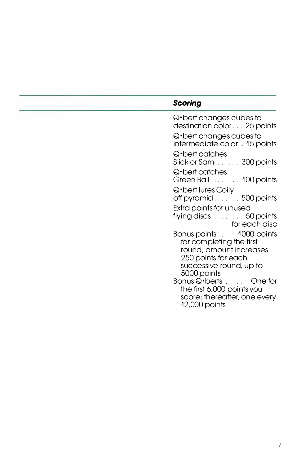# *Scoring*

Q•bert changes cubes to destination color ... 25 points Q•bert changes cubes to intermediate color .. 15 points Q•bert catches Slick or Sam ...... 300 points Q•bert catches Green Ball. . . . . . . . 100 points Q•bert lures Coily off pyramid . . . . . . . 500 points Extra points for unused flying discs ........ 50 points for each disc Bonus points . . . . 1000 points for completing the first round; amount increases 250 points for each successive round, up to 5000 points Bonus Q•berts . . . . . . One for the first 6,000 points you score; thereafter, one every 12,000 points